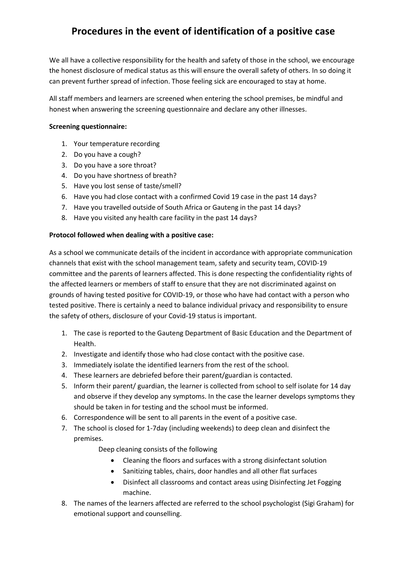## **Procedures in the event of identification of a positive case**

We all have a collective responsibility for the health and safety of those in the school, we encourage the honest disclosure of medical status as this will ensure the overall safety of others. In so doing it can prevent further spread of infection. Those feeling sick are encouraged to stay at home.

All staff members and learners are screened when entering the school premises, be mindful and honest when answering the screening questionnaire and declare any other illnesses.

## **Screening questionnaire:**

- 1. Your temperature recording
- 2. Do you have a cough?
- 3. Do you have a sore throat?
- 4. Do you have shortness of breath?
- 5. Have you lost sense of taste/smell?
- 6. Have you had close contact with a confirmed Covid 19 case in the past 14 days?
- 7. Have you travelled outside of South Africa or Gauteng in the past 14 days?
- 8. Have you visited any health care facility in the past 14 days?

## **Protocol followed when dealing with a positive case:**

As a school we communicate details of the incident in accordance with appropriate communication channels that exist with the school management team, safety and security team, COVID-19 committee and the parents of learners affected. This is done respecting the confidentiality rights of the affected learners or members of staff to ensure that they are not discriminated against on grounds of having tested positive for COVID-19, or those who have had contact with a person who tested positive. There is certainly a need to balance individual privacy and responsibility to ensure the safety of others, disclosure of your Covid-19 status is important.

- 1. The case is reported to the Gauteng Department of Basic Education and the Department of Health.
- 2. Investigate and identify those who had close contact with the positive case.
- 3. Immediately isolate the identified learners from the rest of the school.
- 4. These learners are debriefed before their parent/guardian is contacted.
- 5. Inform their parent/ guardian, the learner is collected from school to self isolate for 14 day and observe if they develop any symptoms. In the case the learner develops symptoms they should be taken in for testing and the school must be informed.
- 6. Correspondence will be sent to all parents in the event of a positive case.
- 7. The school is closed for 1-7day (including weekends) to deep clean and disinfect the premises.
	- Deep cleaning consists of the following
		- Cleaning the floors and surfaces with a strong disinfectant solution
		- Sanitizing tables, chairs, door handles and all other flat surfaces
		- Disinfect all classrooms and contact areas using Disinfecting Jet Fogging machine.
- 8. The names of the learners affected are referred to the school psychologist (Sigi Graham) for emotional support and counselling.